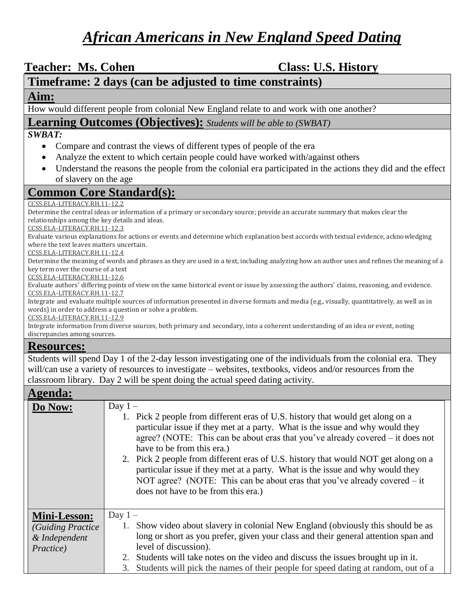# *African Americans in New England Speed Dating*

Teacher: Ms. Cohen **Class: U.S. History** 

## **Timeframe: 2 days (can be adjusted to time constraints)**

#### **Aim:**

How would different people from colonial New England relate to and work with one another?

#### **Learning Outcomes (Objectives):** *Students will be able to (SWBAT)*

#### *SWBAT:*

- Compare and contrast the views of different types of people of the era
- Analyze the extent to which certain people could have worked with/against others
- Understand the reasons the people from the colonial era participated in the actions they did and the effect of slavery on the age

### **Common Core Standard(s):**

#### [CCSS.ELA-LITERACY.RH.11-12.2](http://www.corestandards.org/ELA-Literacy/RH/11-12/2/)

Determine the central ideas or information of a primary or secondary source; provide an accurate summary that makes clear the relationships among the key details and ideas.

[CCSS.ELA-LITERACY.RH.11-12.3](http://www.corestandards.org/ELA-Literacy/RH/11-12/3/)

Evaluate various explanations for actions or events and determine which explanation best accords with textual evidence, acknowledging where the text leaves matters uncertain.

[CCSS.ELA-LITERACY.RH.11-12.4](http://www.corestandards.org/ELA-Literacy/RH/11-12/4/)

Determine the meaning of words and phrases as they are used in a text, including analyzing how an author uses and refines the meaning of a key term over the course of a text

[CCSS.ELA-LITERACY.RH.11-12.6](http://www.corestandards.org/ELA-Literacy/RH/11-12/6/)

Evaluate authors' differing points of view on the same historical event or issue by assessing the authors' claims, reasoning, and evidence. [CCSS.ELA-LITERACY.RH.11-12.7](http://www.corestandards.org/ELA-Literacy/RH/11-12/7/)

Integrate and evaluate multiple sources of information presented in diverse formats and media (e.g., visually, quantitatively, as well as in words) in order to address a question or solve a problem.

[CCSS.ELA-LITERACY.RH.11-12.9](http://www.corestandards.org/ELA-Literacy/RH/11-12/9/)

Integrate information from diverse sources, both primary and secondary, into a coherent understanding of an idea or event, noting discrepancies among sources.

#### **Resources:**

Students will spend Day 1 of the 2-day lesson investigating one of the individuals from the colonial era. They will/can use a variety of resources to investigate – websites, textbooks, videos and/or resources from the classroom library. Day 2 will be spent doing the actual speed dating activity.

#### **Agenda:**

| $\mathbf{r}$        |                                                                                                                                                                                                                                                                                                                                                                                                                                                                                                                                                                                             |  |  |  |
|---------------------|---------------------------------------------------------------------------------------------------------------------------------------------------------------------------------------------------------------------------------------------------------------------------------------------------------------------------------------------------------------------------------------------------------------------------------------------------------------------------------------------------------------------------------------------------------------------------------------------|--|--|--|
| Do Now:             | Day $1 -$<br>1. Pick 2 people from different eras of U.S. history that would get along on a<br>particular issue if they met at a party. What is the issue and why would they<br>agree? (NOTE: This can be about eras that you've already covered $-$ it does not<br>have to be from this era.)<br>2. Pick 2 people from different eras of U.S. history that would NOT get along on a<br>particular issue if they met at a party. What is the issue and why would they<br>NOT agree? (NOTE: This can be about eras that you've already covered $-$ it<br>does not have to be from this era.) |  |  |  |
| <b>Mini-Lesson:</b> | Day $1 -$                                                                                                                                                                                                                                                                                                                                                                                                                                                                                                                                                                                   |  |  |  |
| (Guiding Practice)  | 1. Show video about slavery in colonial New England (obviously this should be as                                                                                                                                                                                                                                                                                                                                                                                                                                                                                                            |  |  |  |
| & Independent       | long or short as you prefer, given your class and their general attention span and                                                                                                                                                                                                                                                                                                                                                                                                                                                                                                          |  |  |  |
| <i>Practice</i> )   | level of discussion).                                                                                                                                                                                                                                                                                                                                                                                                                                                                                                                                                                       |  |  |  |
|                     | 2. Students will take notes on the video and discuss the issues brought up in it.                                                                                                                                                                                                                                                                                                                                                                                                                                                                                                           |  |  |  |
|                     | 3. Students will pick the names of their people for speed dating at random, out of a                                                                                                                                                                                                                                                                                                                                                                                                                                                                                                        |  |  |  |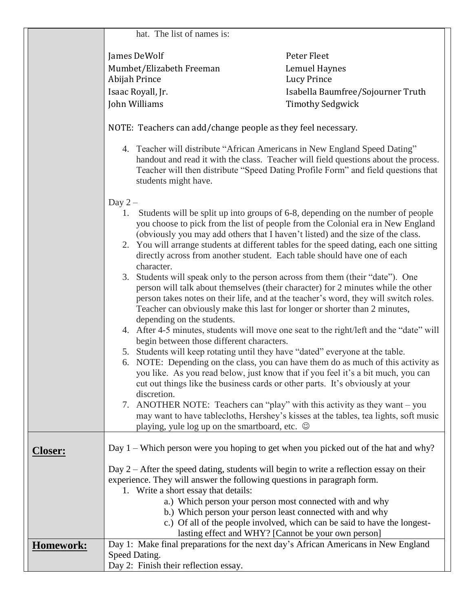|                  | hat. The list of names is:                                                                                                                                                                                                                                                                                                                                                                                                         |                                                                                                                                                                                                                                                                                                                                        |  |
|------------------|------------------------------------------------------------------------------------------------------------------------------------------------------------------------------------------------------------------------------------------------------------------------------------------------------------------------------------------------------------------------------------------------------------------------------------|----------------------------------------------------------------------------------------------------------------------------------------------------------------------------------------------------------------------------------------------------------------------------------------------------------------------------------------|--|
|                  | James DeWolf                                                                                                                                                                                                                                                                                                                                                                                                                       | Peter Fleet                                                                                                                                                                                                                                                                                                                            |  |
|                  | Mumbet/Elizabeth Freeman                                                                                                                                                                                                                                                                                                                                                                                                           | Lemuel Haynes                                                                                                                                                                                                                                                                                                                          |  |
|                  | Abijah Prince                                                                                                                                                                                                                                                                                                                                                                                                                      | Lucy Prince                                                                                                                                                                                                                                                                                                                            |  |
|                  | Isaac Royall, Jr.                                                                                                                                                                                                                                                                                                                                                                                                                  | Isabella Baumfree/Sojourner Truth                                                                                                                                                                                                                                                                                                      |  |
|                  | John Williams                                                                                                                                                                                                                                                                                                                                                                                                                      | <b>Timothy Sedgwick</b>                                                                                                                                                                                                                                                                                                                |  |
|                  |                                                                                                                                                                                                                                                                                                                                                                                                                                    |                                                                                                                                                                                                                                                                                                                                        |  |
|                  | NOTE: Teachers can add/change people as they feel necessary.                                                                                                                                                                                                                                                                                                                                                                       |                                                                                                                                                                                                                                                                                                                                        |  |
|                  | 4. Teacher will distribute "African Americans in New England Speed Dating"<br>students might have.                                                                                                                                                                                                                                                                                                                                 | handout and read it with the class. Teacher will field questions about the process.<br>Teacher will then distribute "Speed Dating Profile Form" and field questions that                                                                                                                                                               |  |
|                  | Day $2-$                                                                                                                                                                                                                                                                                                                                                                                                                           |                                                                                                                                                                                                                                                                                                                                        |  |
|                  | Students will be split up into groups of 6-8, depending on the number of people<br>1.<br>you choose to pick from the list of people from the Colonial era in New England<br>(obviously you may add others that I haven't listed) and the size of the class.<br>2. You will arrange students at different tables for the speed dating, each one sitting<br>directly across from another student. Each table should have one of each |                                                                                                                                                                                                                                                                                                                                        |  |
|                  | character.<br>3.<br>depending on the students.                                                                                                                                                                                                                                                                                                                                                                                     | Students will speak only to the person across from them (their "date"). One<br>person will talk about themselves (their character) for 2 minutes while the other<br>person takes notes on their life, and at the teacher's word, they will switch roles.<br>Teacher can obviously make this last for longer or shorter than 2 minutes, |  |
|                  | 4. After 4-5 minutes, students will move one seat to the right/left and the "date" will                                                                                                                                                                                                                                                                                                                                            |                                                                                                                                                                                                                                                                                                                                        |  |
|                  | begin between those different characters.<br>5. Students will keep rotating until they have "dated" everyone at the table.                                                                                                                                                                                                                                                                                                         |                                                                                                                                                                                                                                                                                                                                        |  |
|                  |                                                                                                                                                                                                                                                                                                                                                                                                                                    | 6. NOTE: Depending on the class, you can have them do as much of this activity as                                                                                                                                                                                                                                                      |  |
|                  | discretion.                                                                                                                                                                                                                                                                                                                                                                                                                        | you like. As you read below, just know that if you feel it's a bit much, you can<br>cut out things like the business cards or other parts. It's obviously at your                                                                                                                                                                      |  |
|                  | 7.                                                                                                                                                                                                                                                                                                                                                                                                                                 | ANOTHER NOTE: Teachers can "play" with this activity as they want $-$ you<br>may want to have tablecloths, Hershey's kisses at the tables, tea lights, soft music                                                                                                                                                                      |  |
|                  | playing, yule log up on the smartboard, etc. ©                                                                                                                                                                                                                                                                                                                                                                                     |                                                                                                                                                                                                                                                                                                                                        |  |
| <b>Closer:</b>   | Day 1 – Which person were you hoping to get when you picked out of the hat and why?                                                                                                                                                                                                                                                                                                                                                |                                                                                                                                                                                                                                                                                                                                        |  |
|                  | Day $2 -$ After the speed dating, students will begin to write a reflection essay on their                                                                                                                                                                                                                                                                                                                                         |                                                                                                                                                                                                                                                                                                                                        |  |
|                  | experience. They will answer the following questions in paragraph form.                                                                                                                                                                                                                                                                                                                                                            |                                                                                                                                                                                                                                                                                                                                        |  |
|                  | 1. Write a short essay that details:                                                                                                                                                                                                                                                                                                                                                                                               |                                                                                                                                                                                                                                                                                                                                        |  |
|                  |                                                                                                                                                                                                                                                                                                                                                                                                                                    | a.) Which person your person most connected with and why                                                                                                                                                                                                                                                                               |  |
|                  | b.) Which person your person least connected with and why                                                                                                                                                                                                                                                                                                                                                                          |                                                                                                                                                                                                                                                                                                                                        |  |
|                  | c.) Of all of the people involved, which can be said to have the longest-                                                                                                                                                                                                                                                                                                                                                          |                                                                                                                                                                                                                                                                                                                                        |  |
|                  |                                                                                                                                                                                                                                                                                                                                                                                                                                    | lasting effect and WHY? [Cannot be your own person]                                                                                                                                                                                                                                                                                    |  |
| <b>Homework:</b> | Day 1: Make final preparations for the next day's African Americans in New England                                                                                                                                                                                                                                                                                                                                                 |                                                                                                                                                                                                                                                                                                                                        |  |
|                  | Speed Dating.<br>Day 2: Finish their reflection essay.                                                                                                                                                                                                                                                                                                                                                                             |                                                                                                                                                                                                                                                                                                                                        |  |
|                  |                                                                                                                                                                                                                                                                                                                                                                                                                                    |                                                                                                                                                                                                                                                                                                                                        |  |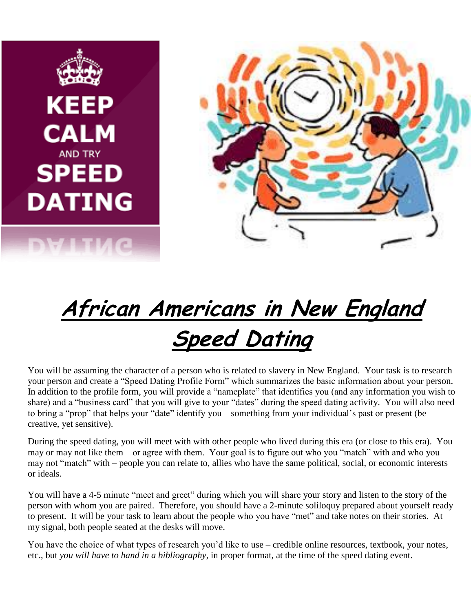



# **African Americans in New England Speed Dating**

You will be assuming the character of a person who is related to slavery in New England. Your task is to research your person and create a "Speed Dating Profile Form" which summarizes the basic information about your person. In addition to the profile form, you will provide a "nameplate" that identifies you (and any information you wish to share) and a "business card" that you will give to your "dates" during the speed dating activity. You will also need to bring a "prop" that helps your "date" identify you—something from your individual's past or present (be creative, yet sensitive).

During the speed dating, you will meet with with other people who lived during this era (or close to this era). You may or may not like them – or agree with them. Your goal is to figure out who you "match" with and who you may not "match" with – people you can relate to, allies who have the same political, social, or economic interests or ideals.

You will have a 4-5 minute "meet and greet" during which you will share your story and listen to the story of the person with whom you are paired. Therefore, you should have a 2-minute soliloquy prepared about yourself ready to present. It will be your task to learn about the people who you have "met" and take notes on their stories. At my signal, both people seated at the desks will move.

You have the choice of what types of research you'd like to use – credible online resources, textbook, your notes, etc., but *you will have to hand in a bibliography*, in proper format, at the time of the speed dating event.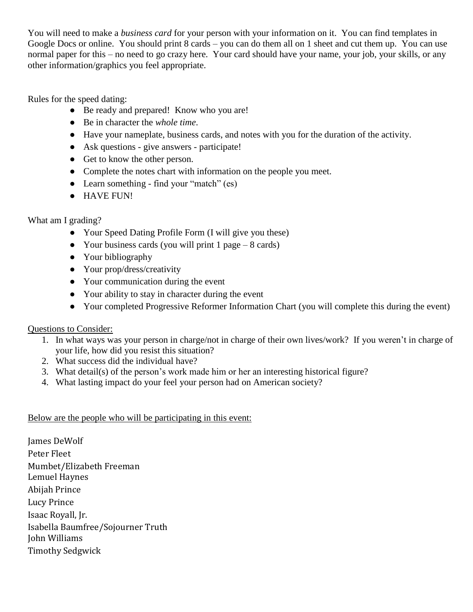You will need to make a *business card* for your person with your information on it. You can find templates in Google Docs or online. You should print 8 cards – you can do them all on 1 sheet and cut them up. You can use normal paper for this – no need to go crazy here. Your card should have your name, your job, your skills, or any other information/graphics you feel appropriate.

Rules for the speed dating:

- Be ready and prepared! Know who you are!
- Be in character the *whole time*.
- Have your nameplate, business cards, and notes with you for the duration of the activity.
- Ask questions give answers participate!
- Get to know the other person.
- Complete the notes chart with information on the people you meet.
- Learn something find your "match" (es)
- HAVE FUN!

#### What am I grading?

- Your Speed Dating Profile Form (I will give you these)
- Your business cards (you will print  $1$  page  $-8$  cards)
- Your bibliography
- Your prop/dress/creativity
- Your communication during the event
- Your ability to stay in character during the event
- Your completed Progressive Reformer Information Chart (you will complete this during the event)

#### Questions to Consider:

- 1. In what ways was your person in charge/not in charge of their own lives/work? If you weren't in charge of your life, how did you resist this situation?
- 2. What success did the individual have?
- 3. What detail(s) of the person's work made him or her an interesting historical figure?
- 4. What lasting impact do your feel your person had on American society?

#### Below are the people who will be participating in this event:

James DeWolf Peter Fleet Mumbet/Elizabeth Freeman Lemuel Haynes Abijah Prince Lucy Prince Isaac Royall, Jr. Isabella Baumfree/Sojourner Truth John Williams Timothy Sedgwick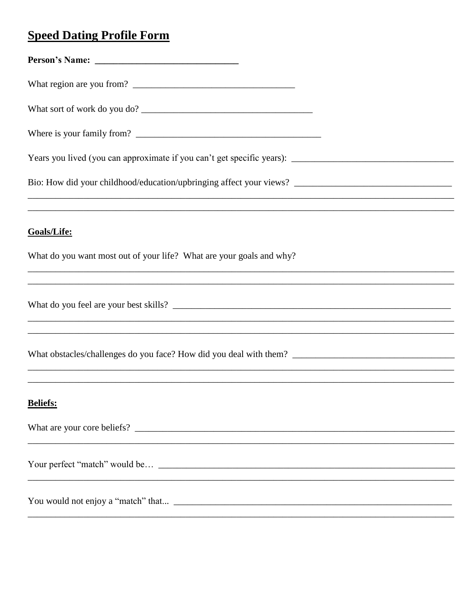# **Speed Dating Profile Form**

| What sort of work do you do?                                                                                                 |
|------------------------------------------------------------------------------------------------------------------------------|
|                                                                                                                              |
|                                                                                                                              |
|                                                                                                                              |
| <u>,这就是这个人的人,我们就是这个人的人,我们就是这个人的人,我们就是这个人的人,我们就是这个人的人,我们就是这个人的人,我们就是这个人的人,我们就是</u><br>Goals/Life:                             |
| What do you want most out of your life? What are your goals and why?                                                         |
|                                                                                                                              |
|                                                                                                                              |
| and the control of the control of the control of the control of the control of the control of the control of the<br>Beliefs: |
|                                                                                                                              |
|                                                                                                                              |
|                                                                                                                              |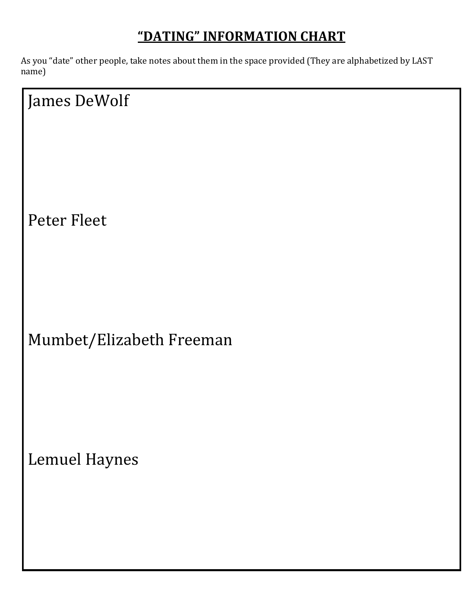# **"DATING" INFORMATION CHART**

As you "date" other people, take notes about them in the space provided (They are alphabetized by LAST name)

James DeWolf Peter Fleet Mumbet/Elizabeth Freeman

Lemuel Haynes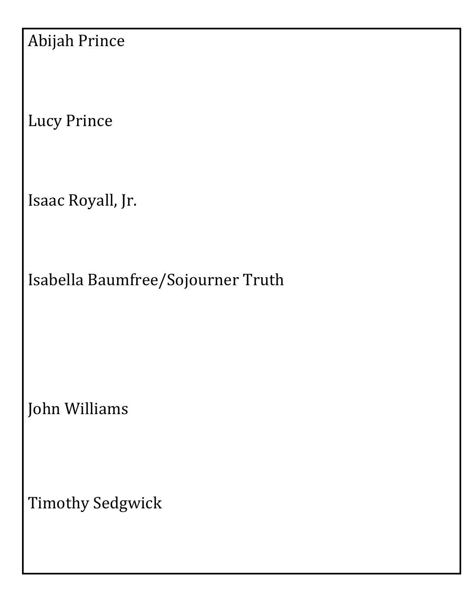| <b>Abijah Prince</b> |  |
|----------------------|--|
|----------------------|--|

Lucy Prince

Isaac Royall, Jr.

Isabella Baumfree/Sojourner Truth

John Williams

Timothy Sedgwick